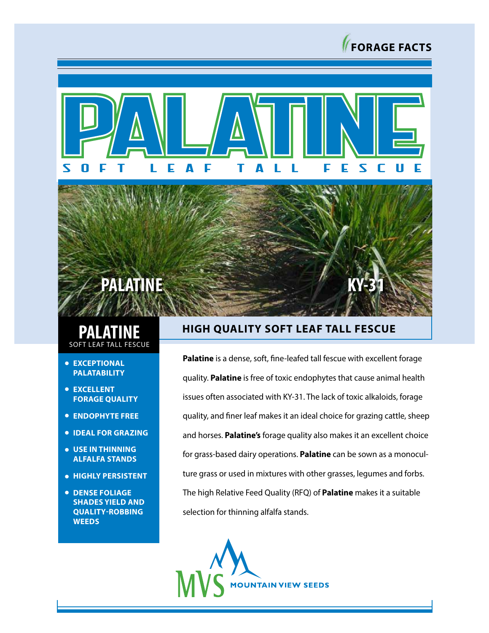





## **PALATINE FESCUE**

- **EXCEPTIONAL PALATABILITY**
- **EXCELLENT FORAGE QUALITY**
- **ENDOPHYTE FREE**
- **IDEAL FOR GRAZING**
- **USE IN THINNING ALFALFA STANDS**
- **HIGHLY PERSISTENT**
- **DENSE FOLIAGE SHADES YIELD AND QUALITY-ROBBING WEEDS**

## **HIGH QUALITY SOFT LEAF TALL FESCUE**

**Palatine** is a dense, soft, fine-leafed tall fescue with excellent forage quality. **Palatine** is free of toxic endophytes that cause animal health issues often associated with KY-31. The lack of toxic alkaloids, forage quality, and finer leaf makes it an ideal choice for grazing cattle, sheep and horses. **Palatine's** forage quality also makes it an excellent choice for grass-based dairy operations. **Palatine** can be sown as a monoculture grass or used in mixtures with other grasses, legumes and forbs. The high Relative Feed Quality (RFQ) of **Palatine** makes it a suitable selection for thinning alfalfa stands.